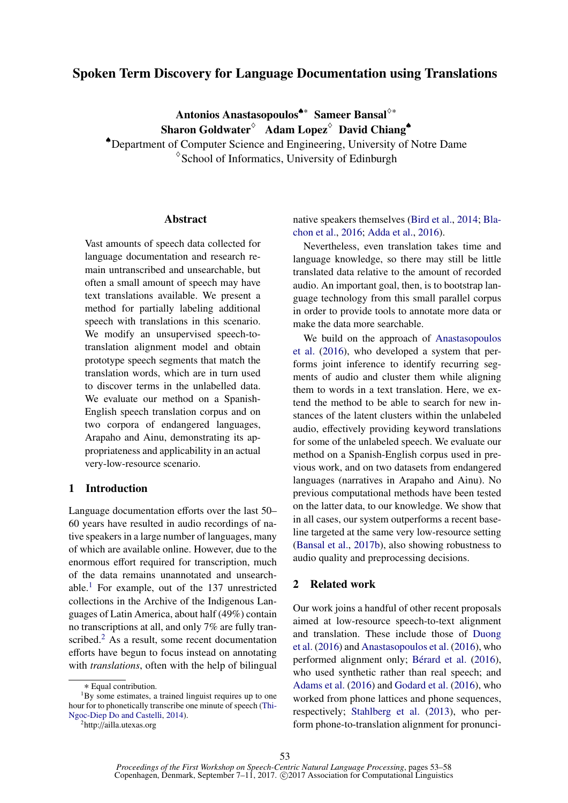# Spoken Term Discovery for Language Documentation using Translations

Antonios Anastasopoulos<sup>♦∗</sup> Sameer Bansal<sup>◇∗</sup> Sharon Goldwater $\delta$  Adam Lopez $\delta$  David Chiang<sup>+</sup>

♠Department of Computer Science and Engineering, University of Notre Dame  $\degree$ School of Informatics, University of Edinburgh

### Abstract

Vast amounts of speech data collected for language documentation and research remain untranscribed and unsearchable, but often a small amount of speech may have text translations available. We present a method for partially labeling additional speech with translations in this scenario. We modify an unsupervised speech-totranslation alignment model and obtain prototype speech segments that match the translation words, which are in turn used to discover terms in the unlabelled data. We evaluate our method on a Spanish-English speech translation corpus and on two corpora of endangered languages, Arapaho and Ainu, demonstrating its appropriateness and applicability in an actual very-low-resource scenario.

# 1 Introduction

Language documentation efforts over the last 50– 60 years have resulted in audio recordings of native speakers in a large number of languages, many of which are available online. However, due to the enormous effort required for transcription, much of the data remains unannotated and unsearchable.<sup>1</sup> For example, out of the  $137$  unrestricted collections in the Archive of the Indigenous Languages of Latin America, about half (49%) contain no transcriptions at all, and only 7% are fully transcribed.<sup>2</sup> As a result, some recent documentation efforts have begun to focus instead on annotating with *translations*, often with the help of bilingual

native speakers themselves (Bird et al., 2014; Blachon et al., 2016; Adda et al., 2016).

Nevertheless, even translation takes time and language knowledge, so there may still be little translated data relative to the amount of recorded audio. An important goal, then, is to bootstrap language technology from this small parallel corpus in order to provide tools to annotate more data or make the data more searchable.

We build on the approach of Anastasopoulos et al. (2016), who developed a system that performs joint inference to identify recurring segments of audio and cluster them while aligning them to words in a text translation. Here, we extend the method to be able to search for new instances of the latent clusters within the unlabeled audio, effectively providing keyword translations for some of the unlabeled speech. We evaluate our method on a Spanish-English corpus used in previous work, and on two datasets from endangered languages (narratives in Arapaho and Ainu). No previous computational methods have been tested on the latter data, to our knowledge. We show that in all cases, our system outperforms a recent baseline targeted at the same very low-resource setting (Bansal et al., 2017b), also showing robustness to audio quality and preprocessing decisions.

## 2 Related work

Our work joins a handful of other recent proposals aimed at low-resource speech-to-text alignment and translation. These include those of Duong et al. (2016) and Anastasopoulos et al. (2016), who performed alignment only; Bérard et al. (2016), who used synthetic rather than real speech; and Adams et al. (2016) and Godard et al. (2016), who worked from phone lattices and phone sequences, respectively; Stahlberg et al. (2013), who perform phone-to-translation alignment for pronunci-

<sup>∗</sup> Equal contribution.

 $1_{\text{Bv}}$  some estimates, a trained linguist requires up to one hour for to phonetically transcribe one minute of speech (Thi-Ngoc-Diep Do and Castelli, 2014).

<sup>2</sup>http://ailla.utexas.org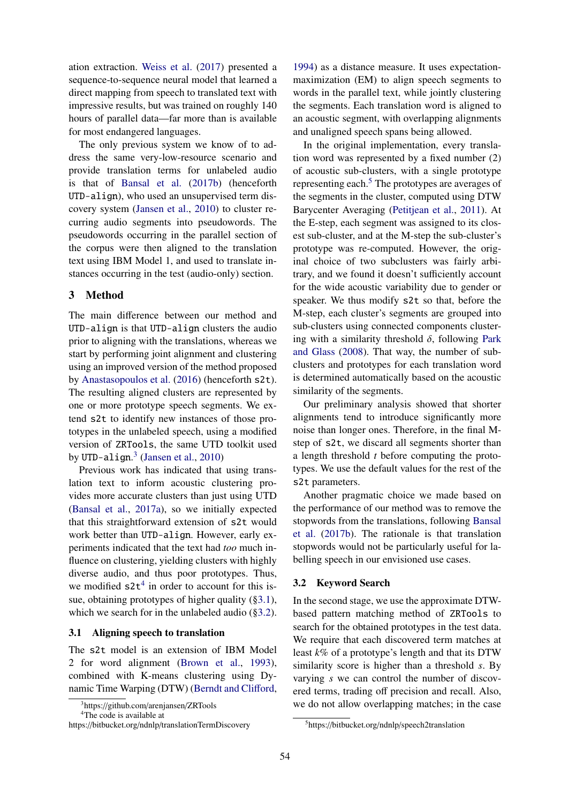ation extraction. Weiss et al. (2017) presented a sequence-to-sequence neural model that learned a direct mapping from speech to translated text with impressive results, but was trained on roughly 140 hours of parallel data—far more than is available for most endangered languages.

The only previous system we know of to address the same very-low-resource scenario and provide translation terms for unlabeled audio is that of Bansal et al. (2017b) (henceforth UTD-align), who used an unsupervised term discovery system (Jansen et al., 2010) to cluster recurring audio segments into pseudowords. The pseudowords occurring in the parallel section of the corpus were then aligned to the translation text using IBM Model 1, and used to translate instances occurring in the test (audio-only) section.

#### 3 Method

The main difference between our method and UTD-align is that UTD-align clusters the audio prior to aligning with the translations, whereas we start by performing joint alignment and clustering using an improved version of the method proposed by Anastasopoulos et al. (2016) (henceforth s2t). The resulting aligned clusters are represented by one or more prototype speech segments. We extend s2t to identify new instances of those prototypes in the unlabeled speech, using a modified version of ZRTools, the same UTD toolkit used by UTD-align. $3$  (Jansen et al., 2010)

Previous work has indicated that using translation text to inform acoustic clustering provides more accurate clusters than just using UTD (Bansal et al., 2017a), so we initially expected that this straightforward extension of s2t would work better than UTD-align. However, early experiments indicated that the text had *too* much influence on clustering, yielding clusters with highly diverse audio, and thus poor prototypes. Thus, we modified  $s2t<sup>4</sup>$  in order to account for this issue, obtaining prototypes of higher quality (§3.1), which we search for in the unlabeled audio (§3.2).

#### 3.1 Aligning speech to translation

The s2t model is an extension of IBM Model 2 for word alignment (Brown et al., 1993), combined with K-means clustering using Dynamic Time Warping (DTW) (Berndt and Clifford, 1994) as a distance measure. It uses expectationmaximization (EM) to align speech segments to words in the parallel text, while jointly clustering the segments. Each translation word is aligned to an acoustic segment, with overlapping alignments and unaligned speech spans being allowed.

In the original implementation, every translation word was represented by a fixed number (2) of acoustic sub-clusters, with a single prototype representing each.<sup>5</sup> The prototypes are averages of the segments in the cluster, computed using DTW Barycenter Averaging (Petitjean et al., 2011). At the E-step, each segment was assigned to its closest sub-cluster, and at the M-step the sub-cluster's prototype was re-computed. However, the original choice of two subclusters was fairly arbitrary, and we found it doesn't sufficiently account for the wide acoustic variability due to gender or speaker. We thus modify s2t so that, before the M-step, each cluster's segments are grouped into sub-clusters using connected components clustering with a similarity threshold  $\delta$ , following Park and Glass (2008). That way, the number of subclusters and prototypes for each translation word is determined automatically based on the acoustic similarity of the segments.

Our preliminary analysis showed that shorter alignments tend to introduce significantly more noise than longer ones. Therefore, in the final Mstep of s2t, we discard all segments shorter than a length threshold *t* before computing the prototypes. We use the default values for the rest of the s2t parameters.

Another pragmatic choice we made based on the performance of our method was to remove the stopwords from the translations, following Bansal et al. (2017b). The rationale is that translation stopwords would not be particularly useful for labelling speech in our envisioned use cases.

# 3.2 Keyword Search

In the second stage, we use the approximate DTWbased pattern matching method of ZRTools to search for the obtained prototypes in the test data. We require that each discovered term matches at least *k*% of a prototype's length and that its DTW similarity score is higher than a threshold *s*. By varying *s* we can control the number of discovered terms, trading off precision and recall. Also, we do not allow overlapping matches; in the case

<sup>&</sup>lt;sup>3</sup>https://github.com/arenjansen/ZRTools

<sup>&</sup>lt;sup>4</sup>The code is available at

https://bitbucket.org/ndnlp/translationTermDiscovery

<sup>5</sup>https://bitbucket.org/ndnlp/speech2translation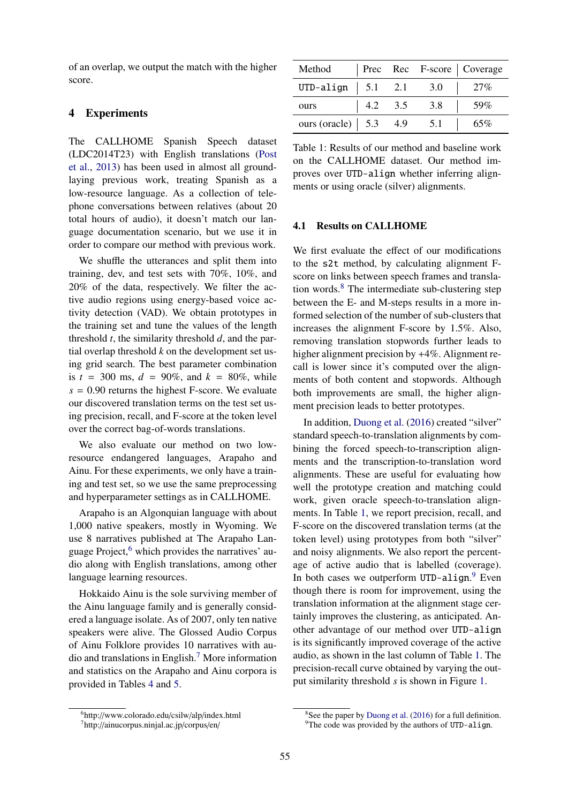of an overlap, we output the match with the higher score.

# 4 Experiments

The CALLHOME Spanish Speech dataset (LDC2014T23) with English translations (Post et al., 2013) has been used in almost all groundlaying previous work, treating Spanish as a low-resource language. As a collection of telephone conversations between relatives (about 20 total hours of audio), it doesn't match our language documentation scenario, but we use it in order to compare our method with previous work.

We shuffle the utterances and split them into training, dev, and test sets with 70%, 10%, and 20% of the data, respectively. We filter the active audio regions using energy-based voice activity detection (VAD). We obtain prototypes in the training set and tune the values of the length threshold *t*, the similarity threshold *d*, and the partial overlap threshold *k* on the development set using grid search. The best parameter combination is  $t = 300$  ms,  $d = 90\%$ , and  $k = 80\%$ , while  $s = 0.90$  returns the highest F-score. We evaluate our discovered translation terms on the test set using precision, recall, and F-score at the token level over the correct bag-of-words translations.

We also evaluate our method on two lowresource endangered languages, Arapaho and Ainu. For these experiments, we only have a training and test set, so we use the same preprocessing and hyperparameter settings as in CALLHOME.

Arapaho is an Algonquian language with about 1,000 native speakers, mostly in Wyoming. We use 8 narratives published at The Arapaho Language Project, $6$  which provides the narratives' audio along with English translations, among other language learning resources.

Hokkaido Ainu is the sole surviving member of the Ainu language family and is generally considered a language isolate. As of 2007, only ten native speakers were alive. The Glossed Audio Corpus of Ainu Folklore provides 10 narratives with audio and translations in English.<sup>7</sup> More information and statistics on the Arapaho and Ainu corpora is provided in Tables 4 and 5.

| Method                                                  |                |     | Prec Rec F-score   Coverage |
|---------------------------------------------------------|----------------|-----|-----------------------------|
| UTD-align $\vert$ 5.1 2.1                               |                | 3.0 | 27%                         |
| ours                                                    | $4.2\quad 3.5$ | 3.8 | 59%                         |
| ours (oracle) $\begin{array}{ l} 5.3 \ 4.9 \end{array}$ |                | 5.1 | 65%                         |

Table 1: Results of our method and baseline work on the CALLHOME dataset. Our method improves over UTD-align whether inferring alignments or using oracle (silver) alignments.

### 4.1 Results on CALLHOME

We first evaluate the effect of our modifications to the s2t method, by calculating alignment Fscore on links between speech frames and translation words.<sup>8</sup> The intermediate sub-clustering step between the E- and M-steps results in a more informed selection of the number of sub-clusters that increases the alignment F-score by 1.5%. Also, removing translation stopwords further leads to higher alignment precision by  $+4\%$ . Alignment recall is lower since it's computed over the alignments of both content and stopwords. Although both improvements are small, the higher alignment precision leads to better prototypes.

In addition, Duong et al. (2016) created "silver" standard speech-to-translation alignments by combining the forced speech-to-transcription alignments and the transcription-to-translation word alignments. These are useful for evaluating how well the prototype creation and matching could work, given oracle speech-to-translation alignments. In Table 1, we report precision, recall, and F-score on the discovered translation terms (at the token level) using prototypes from both "silver" and noisy alignments. We also report the percentage of active audio that is labelled (coverage). In both cases we outperform UTD-align.<sup>9</sup> Even though there is room for improvement, using the translation information at the alignment stage certainly improves the clustering, as anticipated. Another advantage of our method over UTD-align is its significantly improved coverage of the active audio, as shown in the last column of Table 1. The precision-recall curve obtained by varying the output similarity threshold *s* is shown in Figure 1.

<sup>6</sup>http://www.colorado.edu/csilw/alp/index.html

<sup>7</sup>http://ainucorpus.ninjal.ac.jp/corpus/en/

 $8$ See the paper by Duong et al. (2016) for a full definition. <sup>9</sup>The code was provided by the authors of UTD-align.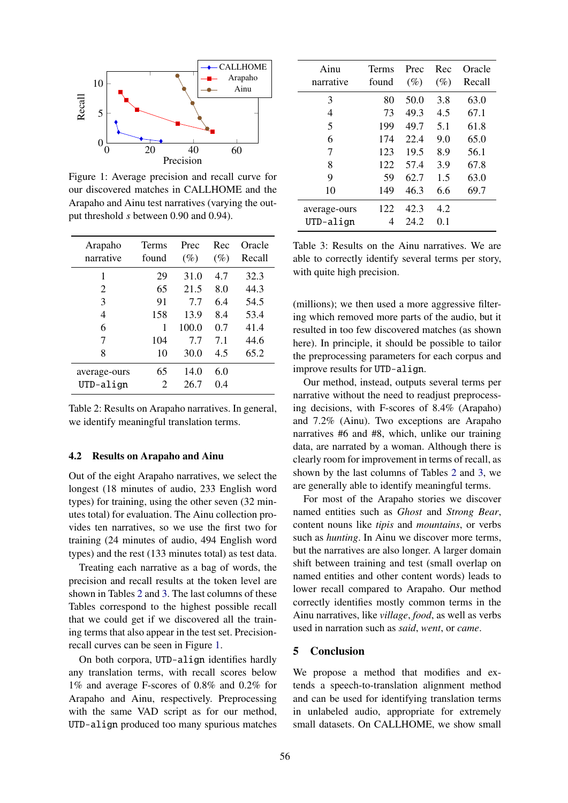

Figure 1: Average precision and recall curve for our discovered matches in CALLHOME and the Arapaho and Ainu test narratives (varying the output threshold *s* between 0.90 and 0.94).

| Arapaho<br>narrative | Terms<br>found | Prec<br>$(\%)$ | Rec<br>$(\%)$ | Oracle<br>Recall |
|----------------------|----------------|----------------|---------------|------------------|
| 1                    | 29             | 31.0           | 4.7           | 32.3             |
| 2                    | 65             | 21.5           | 8.0           | 44.3             |
| 3                    | 91             | 77             | 6.4           | 54.5             |
| 4                    | 158            | 13.9           | 8.4           | 53.4             |
| 6                    | 1              | 100.0          | 0.7           | 41.4             |
| 7                    | 104            | 7.7            | 7.1           | 44.6             |
| 8                    | 10             | 30.0           | 4.5           | 65.2             |
| average-ours         | 65             | 14.0           | 6.0           |                  |
| $UTD-align$          | $\overline{c}$ | 26.7           | 0.4           |                  |

Table 2: Results on Arapaho narratives. In general, we identify meaningful translation terms.

#### 4.2 Results on Arapaho and Ainu

Out of the eight Arapaho narratives, we select the longest (18 minutes of audio, 233 English word types) for training, using the other seven (32 minutes total) for evaluation. The Ainu collection provides ten narratives, so we use the first two for training (24 minutes of audio, 494 English word types) and the rest (133 minutes total) as test data.

Treating each narrative as a bag of words, the precision and recall results at the token level are shown in Tables 2 and 3. The last columns of these Tables correspond to the highest possible recall that we could get if we discovered all the training terms that also appear in the test set. Precisionrecall curves can be seen in Figure 1.

On both corpora, UTD-align identifies hardly any translation terms, with recall scores below 1% and average F-scores of 0.8% and 0.2% for Arapaho and Ainu, respectively. Preprocessing with the same VAD script as for our method, UTD-align produced too many spurious matches

| Ainu<br>narrative | Terms<br>found | Prec<br>$(\%)$ | Rec<br>$(\%)$ | Oracle<br>Recall |
|-------------------|----------------|----------------|---------------|------------------|
| 3                 | 80             | 50.0           | 3.8           | 63.0             |
| 4                 | 73             | 49.3           | 4.5           | 67.1             |
| 5                 | 199            | 49.7           | 5.1           | 61.8             |
| 6                 | 174            | 22.4           | 9.0           | 65.0             |
| 7                 | 123            | 19.5           | 8.9           | 56.1             |
| 8                 | 122            | 57.4           | 3.9           | 67.8             |
| 9                 | 59             | 62.7           | 1.5           | 63.0             |
| 10                | 149            | 46.3           | 6.6           | 69.7             |
| average-ours      | 122            | 42.3           | 4.2           |                  |
| UTD-align         | 4              | 24.2           | 0.1           |                  |

Table 3: Results on the Ainu narratives. We are able to correctly identify several terms per story, with quite high precision.

(millions); we then used a more aggressive filtering which removed more parts of the audio, but it resulted in too few discovered matches (as shown here). In principle, it should be possible to tailor the preprocessing parameters for each corpus and improve results for UTD-align.

Our method, instead, outputs several terms per narrative without the need to readjust preprocessing decisions, with F-scores of 8.4% (Arapaho) and 7.2% (Ainu). Two exceptions are Arapaho narratives #6 and #8, which, unlike our training data, are narrated by a woman. Although there is clearly room for improvement in terms of recall, as shown by the last columns of Tables 2 and 3, we are generally able to identify meaningful terms.

For most of the Arapaho stories we discover named entities such as *Ghost* and *Strong Bear*, content nouns like *tipis* and *mountains*, or verbs such as *hunting*. In Ainu we discover more terms, but the narratives are also longer. A larger domain shift between training and test (small overlap on named entities and other content words) leads to lower recall compared to Arapaho. Our method correctly identifies mostly common terms in the Ainu narratives, like *village*, *food*, as well as verbs used in narration such as *said*, *went*, or *came*.

#### 5 Conclusion

We propose a method that modifies and extends a speech-to-translation alignment method and can be used for identifying translation terms in unlabeled audio, appropriate for extremely small datasets. On CALLHOME, we show small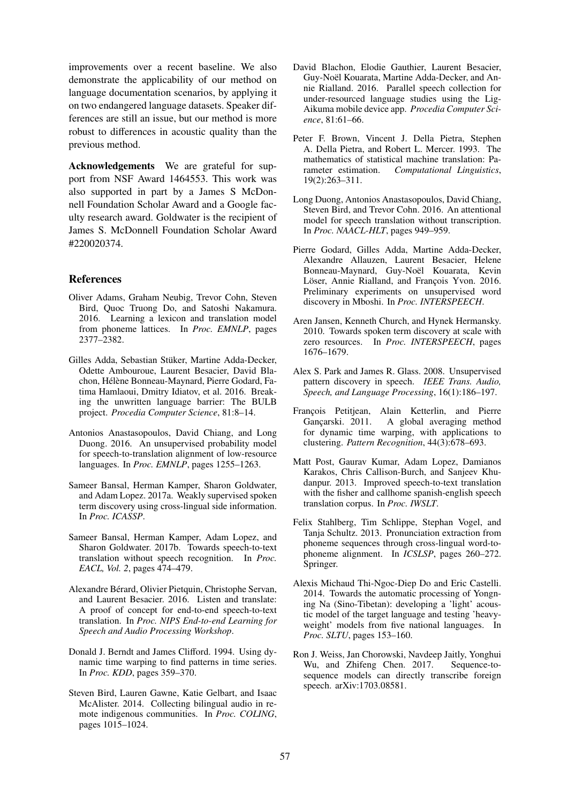improvements over a recent baseline. We also demonstrate the applicability of our method on language documentation scenarios, by applying it on two endangered language datasets. Speaker differences are still an issue, but our method is more robust to differences in acoustic quality than the previous method.

Acknowledgements We are grateful for support from NSF Award 1464553. This work was also supported in part by a James S McDonnell Foundation Scholar Award and a Google faculty research award. Goldwater is the recipient of James S. McDonnell Foundation Scholar Award #220020374.

### References

- Oliver Adams, Graham Neubig, Trevor Cohn, Steven Bird, Quoc Truong Do, and Satoshi Nakamura. 2016. Learning a lexicon and translation model from phoneme lattices. In *Proc. EMNLP*, pages 2377–2382.
- Gilles Adda, Sebastian Stüker, Martine Adda-Decker, Odette Ambouroue, Laurent Besacier, David Blachon, Hélène Bonneau-Maynard, Pierre Godard, Fatima Hamlaoui, Dmitry Idiatov, et al. 2016. Breaking the unwritten language barrier: The BULB project. *Procedia Computer Science*, 81:8–14.
- Antonios Anastasopoulos, David Chiang, and Long Duong. 2016. An unsupervised probability model for speech-to-translation alignment of low-resource languages. In *Proc. EMNLP*, pages 1255–1263.
- Sameer Bansal, Herman Kamper, Sharon Goldwater, and Adam Lopez. 2017a. Weakly supervised spoken term discovery using cross-lingual side information. In *Proc. ICASSP*.
- Sameer Bansal, Herman Kamper, Adam Lopez, and Sharon Goldwater. 2017b. Towards speech-to-text translation without speech recognition. In *Proc. EACL, Vol. 2*, pages 474–479.
- Alexandre Bérard, Olivier Pietquin, Christophe Servan, and Laurent Besacier. 2016. Listen and translate: A proof of concept for end-to-end speech-to-text translation. In *Proc. NIPS End-to-end Learning for Speech and Audio Processing Workshop*.
- Donald J. Berndt and James Clifford. 1994. Using dynamic time warping to find patterns in time series. In *Proc. KDD*, pages 359–370.
- Steven Bird, Lauren Gawne, Katie Gelbart, and Isaac McAlister. 2014. Collecting bilingual audio in remote indigenous communities. In *Proc. COLING*, pages 1015–1024.
- David Blachon, Elodie Gauthier, Laurent Besacier, Guy-Noël Kouarata, Martine Adda-Decker, and Annie Rialland. 2016. Parallel speech collection for under-resourced language studies using the Lig-Aikuma mobile device app. *Procedia Computer Science*, 81:61–66.
- Peter F. Brown, Vincent J. Della Pietra, Stephen A. Della Pietra, and Robert L. Mercer. 1993. The mathematics of statistical machine translation: Parameter estimation. *Computational Linguistics*, 19(2):263–311.
- Long Duong, Antonios Anastasopoulos, David Chiang, Steven Bird, and Trevor Cohn. 2016. An attentional model for speech translation without transcription. In *Proc. NAACL-HLT*, pages 949–959.
- Pierre Godard, Gilles Adda, Martine Adda-Decker, Alexandre Allauzen, Laurent Besacier, Helene Bonneau-Maynard, Guy-Noël Kouarata, Kevin Löser, Annie Rialland, and Francois Yvon. 2016. Preliminary experiments on unsupervised word discovery in Mboshi. In *Proc. INTERSPEECH*.
- Aren Jansen, Kenneth Church, and Hynek Hermansky. 2010. Towards spoken term discovery at scale with zero resources. In *Proc. INTERSPEECH*, pages 1676–1679.
- Alex S. Park and James R. Glass. 2008. Unsupervised pattern discovery in speech. *IEEE Trans. Audio, Speech, and Language Processing*, 16(1):186–197.
- François Petitjean, Alain Ketterlin, and Pierre Gançarski. 2011. A global averaging method for dynamic time warping, with applications to clustering. *Pattern Recognition*, 44(3):678–693.
- Matt Post, Gaurav Kumar, Adam Lopez, Damianos Karakos, Chris Callison-Burch, and Sanjeev Khudanpur. 2013. Improved speech-to-text translation with the fisher and callhome spanish-english speech translation corpus. In *Proc. IWSLT*.
- Felix Stahlberg, Tim Schlippe, Stephan Vogel, and Tanja Schultz. 2013. Pronunciation extraction from phoneme sequences through cross-lingual word-tophoneme alignment. In *ICSLSP*, pages 260–272. Springer.
- Alexis Michaud Thi-Ngoc-Diep Do and Eric Castelli. 2014. Towards the automatic processing of Yongning Na (Sino-Tibetan): developing a 'light' acoustic model of the target language and testing 'heavyweight' models from five national languages. In *Proc. SLTU*, pages 153–160.
- Ron J. Weiss, Jan Chorowski, Navdeep Jaitly, Yonghui Wu, and Zhifeng Chen. 2017. Sequence-tosequence models can directly transcribe foreign speech. arXiv:1703.08581.